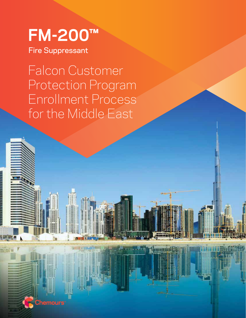# **FM-200™**

Fire Suppressant

Falcon Customer Protection Program Enrollment Process for the Middle East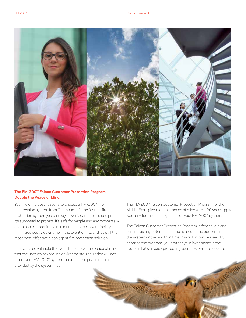

# **The FM-200™ Falcon Customer Protection Program: Double the Peace of Mind.**

You know the best reasons to choose a FM-200™ fire suppression system from Chemours. It's the fastest fire protection system you can buy. It won't damage the equipment it's supposed to protect. It's safe for people and environmentally sustainable. It requires a minimum of space in your facility. It minimizes costly downtime in the event of fire, and it's still the most cost-effective clean agent fire protection solution.

In fact, it's so valuable that you should have the peace of mind that the uncertainty around environmental regulation will not affect your FM-200™ system, on top of the peace of mind provided by the system itself.

The FM-200™ Falcon Customer Protection Program for the Middle East\* gives you that peace of mind with a 20 year supply warranty for the clean agent inside your FM-200™ system.

The Falcon Customer Protection Program is free to join and eliminates any potential questions around the performance of the system or the length in time in which it can be used. By entering the program, you protect your investment in the system that's already protecting your most valuable assets.

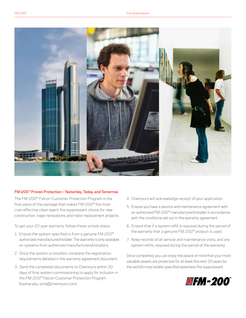

# **FM-200™ Proven Protection – Yesterday, Today, and Tomorrow**

The FM-200™ Falcon Customer Protection Program is the final piece of the package that makes FM-200™ the most cost-effective clean agent fire suppressant choice for new construction, major renovations, and Halon replacement projects.

To get your 20 year warranty, follow these simple steps:

- 1. Ensure the system specified is from a genuine FM-200™ authorized manufacturer/installer. The warranty is only available on systems from authorized manufacturers/installers.
- 2. Once the system is installed, complete the registration requirements detailed in the warranty agreement document.
- 3. Send the completed documents to Chemours within 30 days of final system commissioning to apply for inclusion in the FM-200™ Falcon Customer Protection Program (bashar.abu-sitta@chemours.com).
- 4. Chemours will acknowledge receipt of your application.
- 5. Ensure you have a service and maintenance agreement with an authorized FM-200™ manufacturer/installer in accordance with the conditions set out in the warranty agreement.
- 6. Ensure that if a system refill is required during the period of the warranty that a genuine FM-200™ product is used.
- 7. Keep records of all service and maintenance visits, and any system refills, required during the period of the warranty.

Once completed, you can enjoy the peace of mind that your most valuable assets are protected for at least the next 20 years by the world's most widely specified waterless fire suppressant.